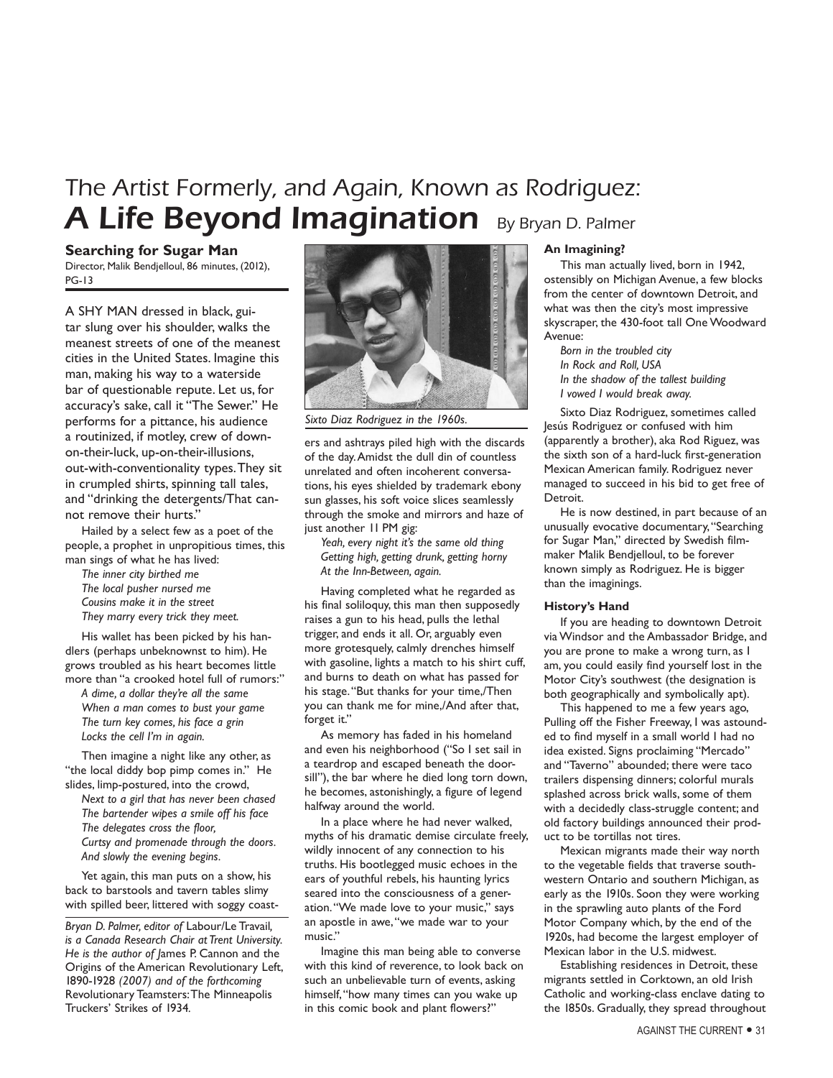# The Artist Formerly, and Again, Known as Rodriguez: A Life Beyond Imagination By Bryan D. Palmer

**Searching for Sugar Man** Director, Malik Bendjelloul, 86 minutes, (2012), PG-13

A SHY MAN dressed in black, guitar slung over his shoulder, walks the meanest streets of one of the meanest cities in the United States. Imagine this man, making his way to a waterside bar of questionable repute. Let us, for accuracy's sake, call it "The Sewer." He performs for a pittance, his audience a routinized, if motley, crew of downon-their-luck, up-on-their-illusions, out-with-conventionality types. They sit in crumpled shirts, spinning tall tales, and "drinking the detergents/That cannot remove their hurts."

Hailed by a select few as a poet of the people, a prophet in unpropitious times, this man sings of what he has lived:

*The inner city birthed me The local pusher nursed me Cousins make it in the street They marry every trick they meet.*

His wallet has been picked by his handlers (perhaps unbeknownst to him). He grows troubled as his heart becomes little more than "a crooked hotel full of rumors:"

*A dime, a dollar they're all the same When a man comes to bust your game The turn key comes, his face a grin Locks the cell I'm in again.*

Then imagine a night like any other, as "the local diddy bop pimp comes in." He slides, limp-postured, into the crowd,

*Next to a girl that has never been chased The bartender wipes a smile off his face The delegates cross the floor, Curtsy and promenade through the doors. And slowly the evening begins.*

Yet again, this man puts on a show, his back to barstools and tavern tables slimy with spilled beer, littered with soggy coast-



*Sixto Diaz Rodriguez in the 1960s.*

ers and ashtrays piled high with the discards of the day. Amidst the dull din of countless unrelated and often incoherent conversations, his eyes shielded by trademark ebony sun glasses, his soft voice slices seamlessly through the smoke and mirrors and haze of just another 11 PM gig:

*Yeah, every night it's the same old thing Getting high, getting drunk, getting horny At the Inn-Between, again.*

Having completed what he regarded as his final soliloquy, this man then supposedly raises a gun to his head, pulls the lethal trigger, and ends it all. Or, arguably even more grotesquely, calmly drenches himself with gasoline, lights a match to his shirt cuff, and burns to death on what has passed for his stage. "But thanks for your time,/Then you can thank me for mine,/And after that, forget it."

As memory has faded in his homeland and even his neighborhood ("So I set sail in a teardrop and escaped beneath the doorsill"), the bar where he died long torn down, he becomes, astonishingly, a figure of legend halfway around the world.

In a place where he had never walked, myths of his dramatic demise circulate freely, wildly innocent of any connection to his truths. His bootlegged music echoes in the ears of youthful rebels, his haunting lyrics seared into the consciousness of a generation. "We made love to your music," says an apostle in awe, "we made war to your music."

Imagine this man being able to converse with this kind of reverence, to look back on such an unbelievable turn of events, asking himself, "how many times can you wake up in this comic book and plant flowers?"

## **An Imagining?**

This man actually lived, born in 1942, ostensibly on Michigan Avenue, a few blocks from the center of downtown Detroit, and what was then the city's most impressive skyscraper, the 430-foot tall One Woodward Avenue:

*Born in the troubled city In Rock and Roll, USA In the shadow of the tallest building I vowed I would break away.*

Sixto Diaz Rodriguez, sometimes called Jesús Rodriguez or confused with him (apparently a brother), aka Rod Riguez, was the sixth son of a hard-luck first-generation Mexican American family. Rodriguez never managed to succeed in his bid to get free of Detroit.

He is now destined, in part because of an unusually evocative documentary, "Searching for Sugar Man," directed by Swedish filmmaker Malik Bendjelloul, to be forever known simply as Rodriguez. He is bigger than the imaginings.

### **History's Hand**

If you are heading to downtown Detroit via Windsor and the Ambassador Bridge, and you are prone to make a wrong turn, as I am, you could easily find yourself lost in the Motor City's southwest (the designation is both geographically and symbolically apt).

This happened to me a few years ago, Pulling off the Fisher Freeway, I was astounded to find myself in a small world I had no idea existed. Signs proclaiming "Mercado" and "Taverno" abounded; there were taco trailers dispensing dinners; colorful murals splashed across brick walls, some of them with a decidedly class-struggle content; and old factory buildings announced their product to be tortillas not tires.

Mexican migrants made their way north to the vegetable fields that traverse southwestern Ontario and southern Michigan, as early as the 1910s. Soon they were working in the sprawling auto plants of the Ford Motor Company which, by the end of the 1920s, had become the largest employer of Mexican labor in the U.S. midwest.

Establishing residences in Detroit, these migrants settled in Corktown, an old Irish Catholic and working-class enclave dating to the 1850s. Gradually, they spread throughout

*Bryan D. Palmer, editor of* Labour/Le Travail*, is a Canada Research Chair at Trent University. He is the author of J*ames P. Cannon and the Origins of the American Revolutionary Left, 1890-1928 *(2007) and of the forthcoming*  Revolutionary Teamsters: The Minneapolis Truckers' Strikes of 1934*.*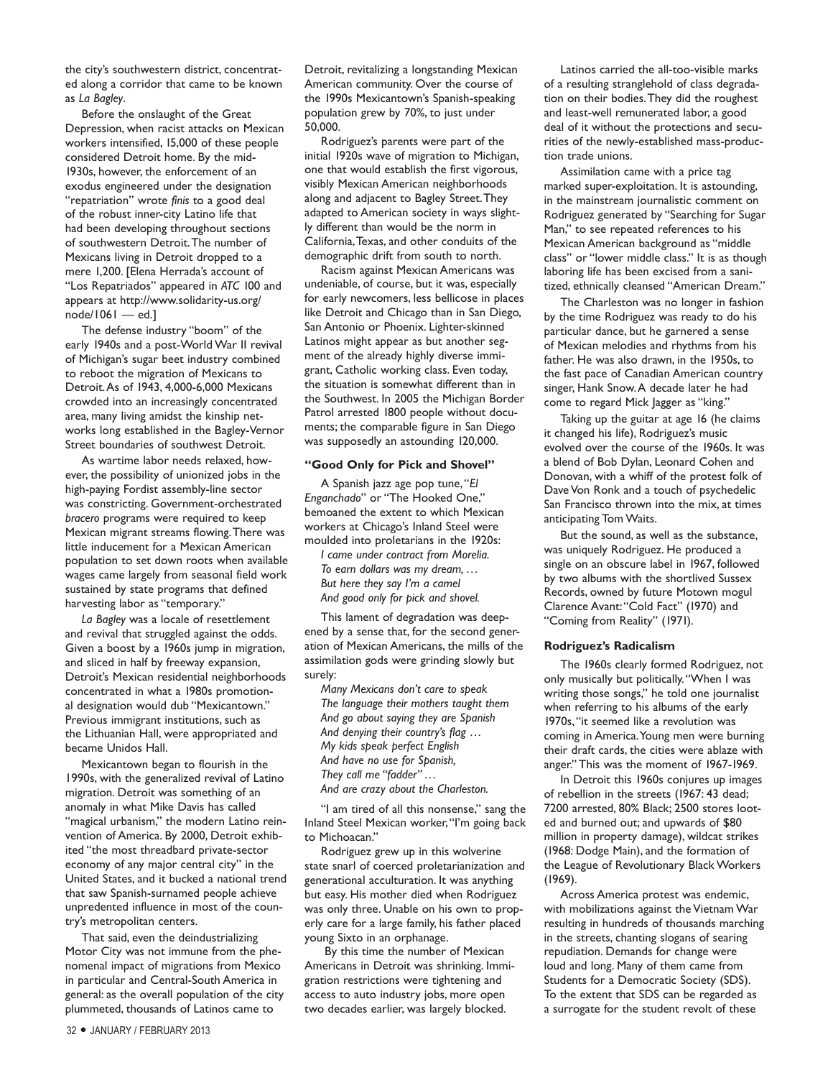the city's southwestern district, concentrated along a corridor that came to be known as *La Bagley*.

Before the onslaught of the Great Depression, when racist attacks on Mexican workers intensified, 15,000 of these people considered Detroit home. By the mid-1930s, however, the enforcement of an exodus engineered under the designation "repatriation" wrote *finis* to a good deal of the robust inner-city Latino life that had been developing throughout sections of southwestern Detroit. The number of Mexicans living in Detroit dropped to a mere 1,200. [Elena Herrada's account of "Los Repatriados" appeared in *ATC* 100 and appears at http://www.solidarity-us.org/ node/1061 — ed.]

The defense industry "boom" of the early 1940s and a post-World War II revival of Michigan's sugar beet industry combined to reboot the migration of Mexicans to Detroit. As of 1943, 4,000-6,000 Mexicans crowded into an increasingly concentrated area, many living amidst the kinship networks long established in the Bagley-Vernor Street boundaries of southwest Detroit.

As wartime labor needs relaxed, however, the possibility of unionized jobs in the high-paying Fordist assembly-line sector was constricting. Government-orchestrated *bracero* programs were required to keep Mexican migrant streams flowing. There was little inducement for a Mexican American population to set down roots when available wages came largely from seasonal field work sustained by state programs that defined harvesting labor as "temporary."

*La Bagley* was a locale of resettlement and revival that struggled against the odds. Given a boost by a 1960s jump in migration, and sliced in half by freeway expansion, Detroit's Mexican residential neighborhoods concentrated in what a 1980s promotional designation would dub "Mexicantown." Previous immigrant institutions, such as the Lithuanian Hall, were appropriated and became Unidos Hall.

Mexicantown began to flourish in the 1990s, with the generalized revival of Latino migration. Detroit was something of an anomaly in what Mike Davis has called "magical urbanism," the modern Latino reinvention of America. By 2000, Detroit exhibited "the most threadbard private-sector economy of any major central city" in the United States, and it bucked a national trend that saw Spanish-surnamed people achieve unpredented influence in most of the country's metropolitan centers.

That said, even the deindustrializing Motor City was not immune from the phenomenal impact of migrations from Mexico in particular and Central-South America in general: as the overall population of the city plummeted, thousands of Latinos came to

Detroit, revitalizing a longstanding Mexican American community. Over the course of the 1990s Mexicantown's Spanish-speaking population grew by 70%, to just under 50,000.

Rodriguez's parents were part of the initial 1920s wave of migration to Michigan, one that would establish the first vigorous, visibly Mexican American neighborhoods along and adjacent to Bagley Street. They adapted to American society in ways slightly different than would be the norm in California, Texas, and other conduits of the demographic drift from south to north.

Racism against Mexican Americans was undeniable, of course, but it was, especially for early newcomers, less bellicose in places like Detroit and Chicago than in San Diego, San Antonio or Phoenix. Lighter-skinned Latinos might appear as but another segment of the already highly diverse immigrant, Catholic working class. Even today, the situation is somewhat different than in the Southwest. In 2005 the Michigan Border Patrol arrested 1800 people without documents; the comparable figure in San Diego was supposedly an astounding 120,000.

#### **"Good Only for Pick and Shovel"**

A Spanish jazz age pop tune, "*El Enganchado*" or "The Hooked One," bemoaned the extent to which Mexican workers at Chicago's Inland Steel were moulded into proletarians in the 1920s:

*I came under contract from Morelia. To earn dollars was my dream, … But here they say I'm a camel And good only for pick and shovel.*

This lament of degradation was deepened by a sense that, for the second generation of Mexican Americans, the mills of the assimilation gods were grinding slowly but surely:

*Many Mexicans don't care to speak The language their mothers taught them And go about saying they are Spanish And denying their country's flag … My kids speak perfect English And have no use for Spanish, They call me "fadder" … And are crazy about the Charleston.*

"I am tired of all this nonsense," sang the Inland Steel Mexican worker, "I'm going back to Michoacan."

Rodriguez grew up in this wolverine state snarl of coerced proletarianization and generational acculturation. It was anything but easy. His mother died when Rodriguez was only three. Unable on his own to properly care for a large family, his father placed young Sixto in an orphanage.

 By this time the number of Mexican Americans in Detroit was shrinking. Immigration restrictions were tightening and access to auto industry jobs, more open two decades earlier, was largely blocked.

Latinos carried the all-too-visible marks of a resulting stranglehold of class degradation on their bodies. They did the roughest and least-well remunerated labor, a good deal of it without the protections and securities of the newly-established mass-production trade unions.

Assimilation came with a price tag marked super-exploitation. It is astounding, in the mainstream journalistic comment on Rodriguez generated by "Searching for Sugar Man," to see repeated references to his Mexican American background as "middle class" or "lower middle class." It is as though laboring life has been excised from a sanitized, ethnically cleansed "American Dream."

The Charleston was no longer in fashion by the time Rodriguez was ready to do his particular dance, but he garnered a sense of Mexican melodies and rhythms from his father. He was also drawn, in the 1950s, to the fast pace of Canadian American country singer, Hank Snow. A decade later he had come to regard Mick Jagger as "king."

Taking up the guitar at age 16 (he claims it changed his life), Rodriguez's music evolved over the course of the 1960s. It was a blend of Bob Dylan, Leonard Cohen and Donovan, with a whiff of the protest folk of Dave Von Ronk and a touch of psychedelic San Francisco thrown into the mix, at times anticipating Tom Waits.

But the sound, as well as the substance, was uniquely Rodriguez. He produced a single on an obscure label in 1967, followed by two albums with the shortlived Sussex Records, owned by future Motown mogul Clarence Avant: "Cold Fact" (1970) and "Coming from Reality" (1971).

#### **Rodriguez's Radicalism**

The 1960s clearly formed Rodriguez, not only musically but politically. "When I was writing those songs," he told one journalist when referring to his albums of the early 1970s, "it seemed like a revolution was coming in America. Young men were burning their draft cards, the cities were ablaze with anger." This was the moment of 1967-1969.

In Detroit this 1960s conjures up images of rebellion in the streets (1967: 43 dead; 7200 arrested, 80% Black; 2500 stores looted and burned out; and upwards of \$80 million in property damage), wildcat strikes (1968: Dodge Main), and the formation of the League of Revolutionary Black Workers (1969).

Across America protest was endemic, with mobilizations against the Vietnam War resulting in hundreds of thousands marching in the streets, chanting slogans of searing repudiation. Demands for change were loud and long. Many of them came from Students for a Democratic Society (SDS). To the extent that SDS can be regarded as a surrogate for the student revolt of these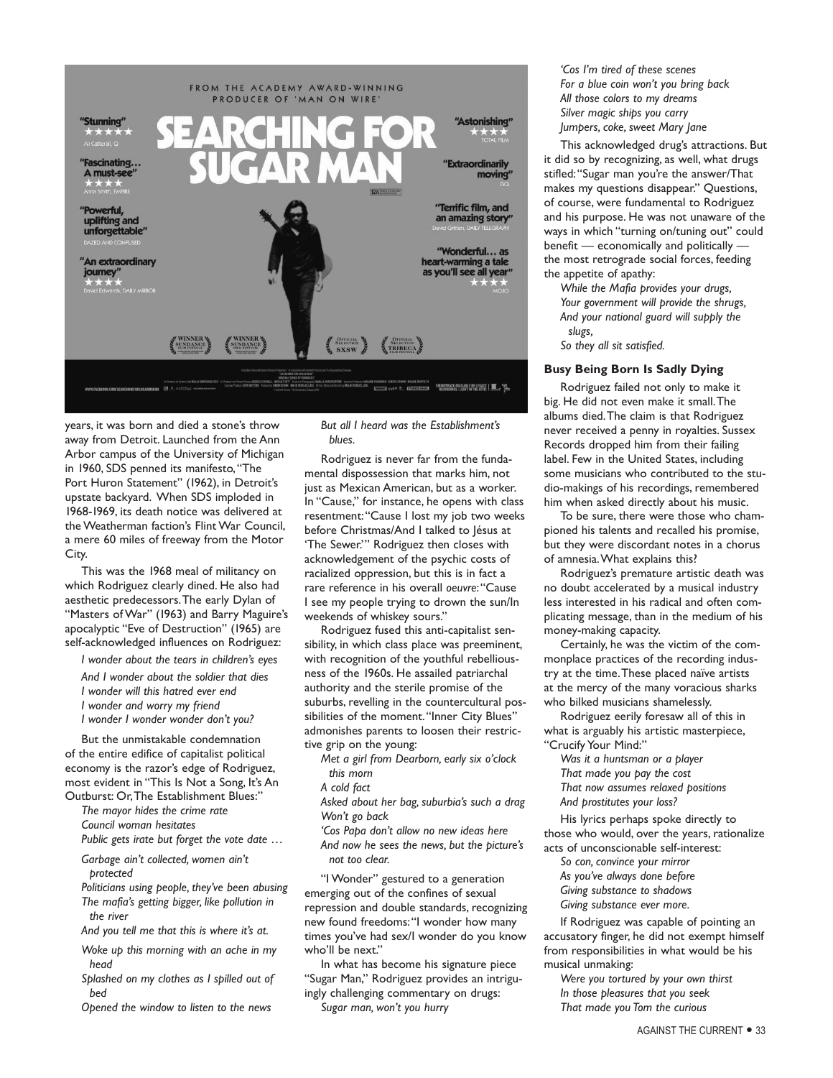

years, it was born and died a stone's throw away from Detroit. Launched from the Ann Arbor campus of the University of Michigan in 1960, SDS penned its manifesto, "The Port Huron Statement" (1962), in Detroit's upstate backyard. When SDS imploded in 1968-1969, its death notice was delivered at the Weatherman faction's Flint War Council, a mere 60 miles of freeway from the Motor City.

This was the 1968 meal of militancy on which Rodriguez clearly dined. He also had aesthetic predecessors. The early Dylan of "Masters of War" (1963) and Barry Maguire's apocalyptic "Eve of Destruction" (1965) are self-acknowledged influences on Rodriguez:

*I wonder about the tears in children's eyes*

*And I wonder about the soldier that dies I wonder will this hatred ever end I wonder and worry my friend I wonder I wonder wonder don't you?*

But the unmistakable condemnation of the entire edifice of capitalist political economy is the razor's edge of Rodriguez, most evident in "This Is Not a Song, It's An Outburst: Or, The Establishment Blues:"

*The mayor hides the crime rate Council woman hesitates Public gets irate but forget the vote date …*

*Garbage ain't collected, women ain't protected*

*Politicians using people, they've been abusing The mafia's getting bigger, like pollution in the river*

*And you tell me that this is where it's at.*

*Woke up this morning with an ache in my head*

*Splashed on my clothes as I spilled out of bed*

*Opened the window to listen to the news*

*But all I heard was the Establishment's blues.*

Rodriguez is never far from the fundamental dispossession that marks him, not just as Mexican American, but as a worker. In "Cause," for instance, he opens with class resentment: "Cause I lost my job two weeks before Christmas/And I talked to Jésus at 'The Sewer.'" Rodriguez then closes with acknowledgement of the psychic costs of racialized oppression, but this is in fact a rare reference in his overall *oeuvre*: "Cause I see my people trying to drown the sun/In weekends of whiskey sours."

Rodriguez fused this anti-capitalist sensibility, in which class place was preeminent, with recognition of the youthful rebelliousness of the 1960s. He assailed patriarchal authority and the sterile promise of the suburbs, revelling in the countercultural possibilities of the moment. "Inner City Blues" admonishes parents to loosen their restrictive grip on the young:

*Met a girl from Dearborn, early six o'clock this morn*

*A cold fact*

*Asked about her bag, suburbia's such a drag Won't go back*

*'Cos Papa don't allow no new ideas here And now he sees the news, but the picture's not too clear.*

"I Wonder" gestured to a generation emerging out of the confines of sexual repression and double standards, recognizing new found freedoms: "I wonder how many times you've had sex/I wonder do you know who'll be next."

In what has become his signature piece "Sugar Man," Rodriguez provides an intriguingly challenging commentary on drugs:

*Sugar man, won't you hurry*

*'Cos I'm tired of these scenes For a blue coin won't you bring back All those colors to my dreams Silver magic ships you carry Jumpers, coke, sweet Mary Jane*

This acknowledged drug's attractions. But it did so by recognizing, as well, what drugs stifled: "Sugar man you're the answer/That makes my questions disappear." Questions, of course, were fundamental to Rodriguez and his purpose. He was not unaware of the ways in which "turning on/tuning out" could benefit — economically and politically the most retrograde social forces, feeding the appetite of apathy:

*While the Mafia provides your drugs, Your government will provide the shrugs, And your national guard will supply the slugs,*

*So they all sit satisfied.*

#### **Busy Being Born Is Sadly Dying**

Rodriguez failed not only to make it big. He did not even make it small. The albums died. The claim is that Rodriguez never received a penny in royalties. Sussex Records dropped him from their failing label. Few in the United States, including some musicians who contributed to the studio-makings of his recordings, remembered him when asked directly about his music.

To be sure, there were those who championed his talents and recalled his promise, but they were discordant notes in a chorus of amnesia. What explains this?

Rodriguez's premature artistic death was no doubt accelerated by a musical industry less interested in his radical and often complicating message, than in the medium of his money-making capacity.

Certainly, he was the victim of the commonplace practices of the recording industry at the time. These placed naïve artists at the mercy of the many voracious sharks who bilked musicians shamelessly.

Rodriguez eerily foresaw all of this in what is arguably his artistic masterpiece, "Crucify Your Mind:"

*Was it a huntsman or a player That made you pay the cost That now assumes relaxed positions And prostitutes your loss?*

His lyrics perhaps spoke directly to those who would, over the years, rationalize acts of unconscionable self-interest:

*So con, convince your mirror As you've always done before Giving substance to shadows Giving substance ever more.*

If Rodriguez was capable of pointing an accusatory finger, he did not exempt himself from responsibilities in what would be his musical unmaking:

*Were you tortured by your own thirst In those pleasures that you seek That made you Tom the curious*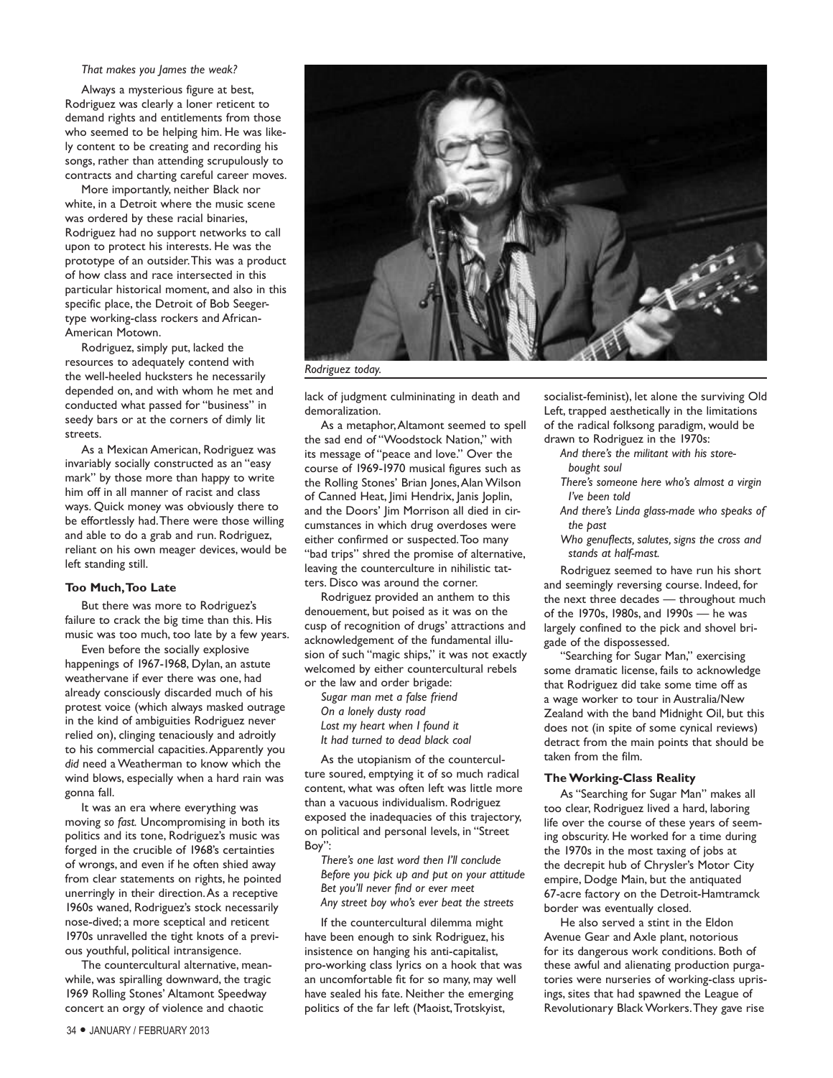#### *That makes you James the weak?*

Always a mysterious figure at best, Rodriguez was clearly a loner reticent to demand rights and entitlements from those who seemed to be helping him. He was likely content to be creating and recording his songs, rather than attending scrupulously to contracts and charting careful career moves.

More importantly, neither Black nor white, in a Detroit where the music scene was ordered by these racial binaries, Rodriguez had no support networks to call upon to protect his interests. He was the prototype of an outsider. This was a product of how class and race intersected in this particular historical moment, and also in this specific place, the Detroit of Bob Seegertype working-class rockers and African-American Motown.

Rodriguez, simply put, lacked the resources to adequately contend with the well-heeled hucksters he necessarily depended on, and with whom he met and conducted what passed for "business" in seedy bars or at the corners of dimly lit streets.

As a Mexican American, Rodriguez was invariably socially constructed as an "easy mark" by those more than happy to write him off in all manner of racist and class ways. Quick money was obviously there to be effortlessly had. There were those willing and able to do a grab and run. Rodriguez, reliant on his own meager devices, would be left standing still.

#### **Too Much, Too Late**

But there was more to Rodriguez's failure to crack the big time than this. His music was too much, too late by a few years.

Even before the socially explosive happenings of 1967-1968, Dylan, an astute weathervane if ever there was one, had already consciously discarded much of his protest voice (which always masked outrage in the kind of ambiguities Rodriguez never relied on), clinging tenaciously and adroitly to his commercial capacities. Apparently you *did* need a Weatherman to know which the wind blows, especially when a hard rain was gonna fall.

It was an era where everything was moving *so fast.* Uncompromising in both its politics and its tone, Rodriguez's music was forged in the crucible of 1968's certainties of wrongs, and even if he often shied away from clear statements on rights, he pointed unerringly in their direction. As a receptive 1960s waned, Rodriguez's stock necessarily nose-dived; a more sceptical and reticent 1970s unravelled the tight knots of a previous youthful, political intransigence.

The countercultural alternative, meanwhile, was spiralling downward, the tragic 1969 Rolling Stones' Altamont Speedway concert an orgy of violence and chaotic



*Rodriguez today.*

lack of judgment culmininating in death and demoralization.

As a metaphor, Altamont seemed to spell the sad end of "Woodstock Nation," with its message of "peace and love." Over the course of 1969-1970 musical figures such as the Rolling Stones' Brian Jones, Alan Wilson of Canned Heat, Jimi Hendrix, Janis Joplin, and the Doors' Jim Morrison all died in circumstances in which drug overdoses were either confirmed or suspected. Too many "bad trips" shred the promise of alternative, leaving the counterculture in nihilistic tatters. Disco was around the corner.

Rodriguez provided an anthem to this denouement, but poised as it was on the cusp of recognition of drugs' attractions and acknowledgement of the fundamental illusion of such "magic ships," it was not exactly welcomed by either countercultural rebels or the law and order brigade:

*Sugar man met a false friend On a lonely dusty road Lost my heart when I found it It had turned to dead black coal*

As the utopianism of the counterculture soured, emptying it of so much radical content, what was often left was little more than a vacuous individualism. Rodriguez exposed the inadequacies of this trajectory, on political and personal levels, in "Street Boy":

*There's one last word then I'll conclude Before you pick up and put on your attitude Bet you'll never find or ever meet Any street boy who's ever beat the streets*

If the countercultural dilemma might have been enough to sink Rodriguez, his insistence on hanging his anti-capitalist, pro-working class lyrics on a hook that was an uncomfortable fit for so many, may well have sealed his fate. Neither the emerging politics of the far left (Maoist, Trotskyist,

socialist-feminist), let alone the surviving Old Left, trapped aesthetically in the limitations of the radical folksong paradigm, would be drawn to Rodriguez in the 1970s:

*And there's the militant with his storebought soul*

- *There's someone here who's almost a virgin I've been told*
- *And there's Linda glass-made who speaks of the past*
- *Who genuflects, salutes, signs the cross and stands at half-mast.*

Rodriguez seemed to have run his short and seemingly reversing course. Indeed, for the next three decades — throughout much of the 1970s, 1980s, and 1990s — he was largely confined to the pick and shovel brigade of the dispossessed.

"Searching for Sugar Man," exercising some dramatic license, fails to acknowledge that Rodriguez did take some time off as a wage worker to tour in Australia/New Zealand with the band Midnight Oil, but this does not (in spite of some cynical reviews) detract from the main points that should be taken from the film.

#### **The Working-Class Reality**

As "Searching for Sugar Man" makes all too clear, Rodriguez lived a hard, laboring life over the course of these years of seeming obscurity. He worked for a time during the 1970s in the most taxing of jobs at the decrepit hub of Chrysler's Motor City empire, Dodge Main, but the antiquated 67-acre factory on the Detroit-Hamtramck border was eventually closed.

He also served a stint in the Eldon Avenue Gear and Axle plant, notorious for its dangerous work conditions. Both of these awful and alienating production purgatories were nurseries of working-class uprisings, sites that had spawned the League of Revolutionary Black Workers. They gave rise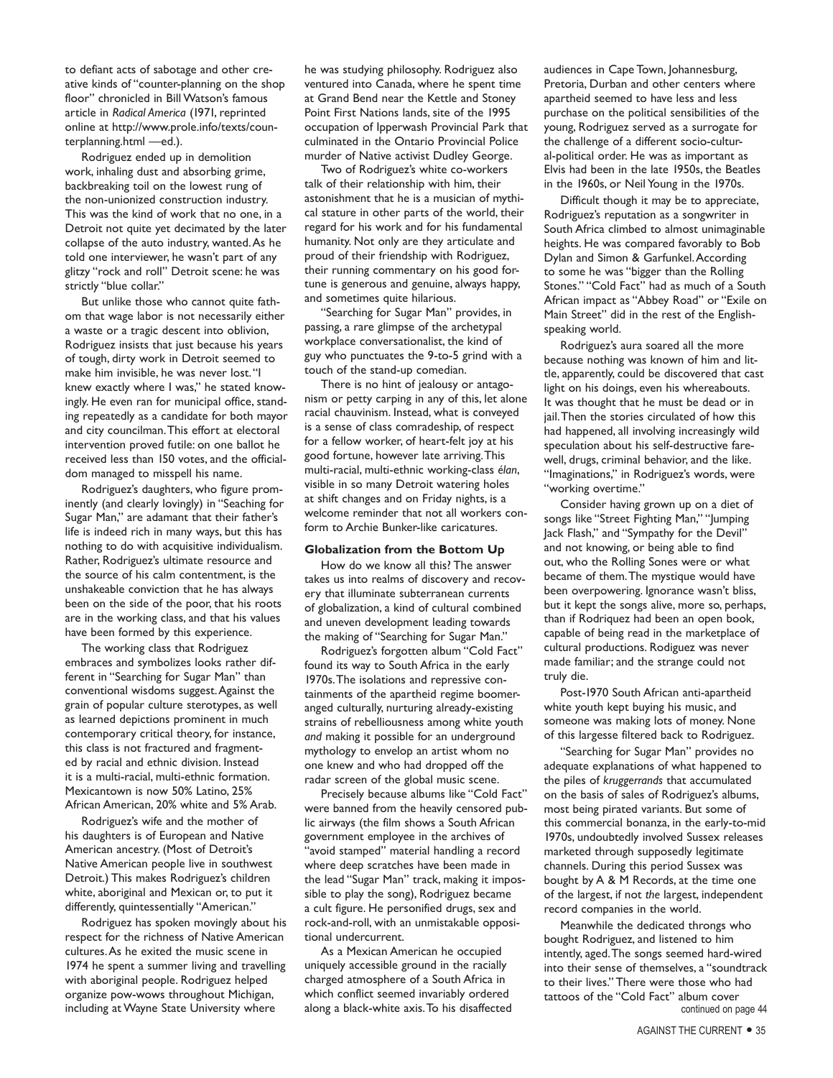to defiant acts of sabotage and other creative kinds of "counter-planning on the shop floor" chronicled in Bill Watson's famous article in *Radical America* (1971, reprinted online at http://www.prole.info/texts/counterplanning.html —ed.).

Rodriguez ended up in demolition work, inhaling dust and absorbing grime, backbreaking toil on the lowest rung of the non-unionized construction industry. This was the kind of work that no one, in a Detroit not quite yet decimated by the later collapse of the auto industry, wanted. As he told one interviewer, he wasn't part of any glitzy "rock and roll" Detroit scene: he was strictly "blue collar."

But unlike those who cannot quite fathom that wage labor is not necessarily either a waste or a tragic descent into oblivion, Rodriguez insists that just because his years of tough, dirty work in Detroit seemed to make him invisible, he was never lost. "I knew exactly where I was," he stated knowingly. He even ran for municipal office, standing repeatedly as a candidate for both mayor and city councilman. This effort at electoral intervention proved futile: on one ballot he received less than 150 votes, and the officialdom managed to misspell his name.

Rodriguez's daughters, who figure prominently (and clearly lovingly) in "Seaching for Sugar Man," are adamant that their father's life is indeed rich in many ways, but this has nothing to do with acquisitive individualism. Rather, Rodriguez's ultimate resource and the source of his calm contentment, is the unshakeable conviction that he has always been on the side of the poor, that his roots are in the working class, and that his values have been formed by this experience.

The working class that Rodriguez embraces and symbolizes looks rather different in "Searching for Sugar Man" than conventional wisdoms suggest. Against the grain of popular culture sterotypes, as well as learned depictions prominent in much contemporary critical theory, for instance, this class is not fractured and fragmented by racial and ethnic division. Instead it is a multi-racial, multi-ethnic formation. Mexicantown is now 50% Latino, 25% African American, 20% white and 5% Arab.

Rodriguez's wife and the mother of his daughters is of European and Native American ancestry. (Most of Detroit's Native American people live in southwest Detroit.) This makes Rodriguez's children white, aboriginal and Mexican or, to put it differently, quintessentially "American."

Rodriguez has spoken movingly about his respect for the richness of Native American cultures. As he exited the music scene in 1974 he spent a summer living and travelling with aboriginal people. Rodriguez helped organize pow-wows throughout Michigan, including at Wayne State University where

he was studying philosophy. Rodriguez also ventured into Canada, where he spent time at Grand Bend near the Kettle and Stoney Point First Nations lands, site of the 1995 occupation of Ipperwash Provincial Park that culminated in the Ontario Provincial Police murder of Native activist Dudley George.

Two of Rodriguez's white co-workers talk of their relationship with him, their astonishment that he is a musician of mythical stature in other parts of the world, their regard for his work and for his fundamental humanity. Not only are they articulate and proud of their friendship with Rodriguez, their running commentary on his good fortune is generous and genuine, always happy, and sometimes quite hilarious.

"Searching for Sugar Man" provides, in passing, a rare glimpse of the archetypal workplace conversationalist, the kind of guy who punctuates the 9-to-5 grind with a touch of the stand-up comedian.

There is no hint of jealousy or antagonism or petty carping in any of this, let alone racial chauvinism. Instead, what is conveyed is a sense of class comradeship, of respect for a fellow worker, of heart-felt joy at his good fortune, however late arriving. This multi-racial, multi-ethnic working-class *élan*, visible in so many Detroit watering holes at shift changes and on Friday nights, is a welcome reminder that not all workers conform to Archie Bunker-like caricatures.

#### **Globalization from the Bottom Up**

How do we know all this? The answer takes us into realms of discovery and recovery that illuminate subterranean currents of globalization, a kind of cultural combined and uneven development leading towards the making of "Searching for Sugar Man."

Rodriguez's forgotten album "Cold Fact" found its way to South Africa in the early 1970s. The isolations and repressive containments of the apartheid regime boomeranged culturally, nurturing already-existing strains of rebelliousness among white youth *and* making it possible for an underground mythology to envelop an artist whom no one knew and who had dropped off the radar screen of the global music scene.

Precisely because albums like "Cold Fact" were banned from the heavily censored public airways (the film shows a South African government employee in the archives of "avoid stamped" material handling a record where deep scratches have been made in the lead "Sugar Man" track, making it impossible to play the song), Rodriguez became a cult figure. He personified drugs, sex and rock-and-roll, with an unmistakable oppositional undercurrent.

As a Mexican American he occupied uniquely accessible ground in the racially charged atmosphere of a South Africa in which conflict seemed invariably ordered along a black-white axis. To his disaffected audiences in Cape Town, Johannesburg, Pretoria, Durban and other centers where apartheid seemed to have less and less purchase on the political sensibilities of the young, Rodriguez served as a surrogate for the challenge of a different socio-cultural-political order. He was as important as Elvis had been in the late 1950s, the Beatles in the 1960s, or Neil Young in the 1970s.

Difficult though it may be to appreciate, Rodriguez's reputation as a songwriter in South Africa climbed to almost unimaginable heights. He was compared favorably to Bob Dylan and Simon & Garfunkel. According to some he was "bigger than the Rolling Stones." "Cold Fact" had as much of a South African impact as "Abbey Road" or "Exile on Main Street" did in the rest of the Englishspeaking world.

Rodriguez's aura soared all the more because nothing was known of him and little, apparently, could be discovered that cast light on his doings, even his whereabouts. It was thought that he must be dead or in jail. Then the stories circulated of how this had happened, all involving increasingly wild speculation about his self-destructive farewell, drugs, criminal behavior, and the like. "Imaginations," in Rodriguez's words, were "working overtime."

Consider having grown up on a diet of songs like "Street Fighting Man," "Jumping Jack Flash," and "Sympathy for the Devil" and not knowing, or being able to find out, who the Rolling Sones were or what became of them. The mystique would have been overpowering. Ignorance wasn't bliss, but it kept the songs alive, more so, perhaps, than if Rodriquez had been an open book, capable of being read in the marketplace of cultural productions. Rodiguez was never made familiar; and the strange could not truly die.

Post-1970 South African anti-apartheid white youth kept buying his music, and someone was making lots of money. None of this largesse filtered back to Rodriguez.

"Searching for Sugar Man" provides no adequate explanations of what happened to the piles of *kruggerrands* that accumulated on the basis of sales of Rodriguez's albums, most being pirated variants. But some of this commercial bonanza, in the early-to-mid 1970s, undoubtedly involved Sussex releases marketed through supposedly legitimate channels. During this period Sussex was bought by A & M Records, at the time one of the largest, if not *the* largest, independent record companies in the world.

Meanwhile the dedicated throngs who bought Rodriguez, and listened to him intently, aged. The songs seemed hard-wired into their sense of themselves, a "soundtrack to their lives." There were those who had tattoos of the "Cold Fact" album cover continued on page 44